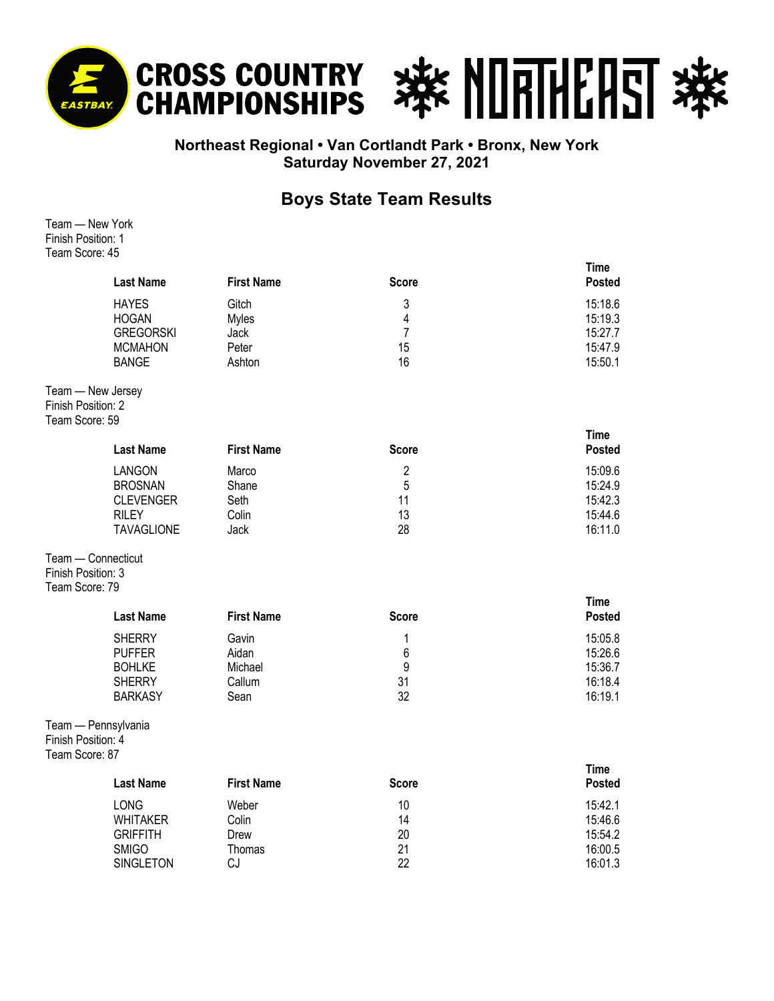

## **Northeast Regional • Van Cortlandt Park • Bronx, New York Saturday November 27, 2021**

## **Boys State Team Results**

Team — New York Finish Position: 1 Team Score: 45

|                | <b>Last Name</b>                                                                                        | <b>First Name</b>                                | <b>Score</b>                          | <b>Time</b><br><b>Posted</b>                        |
|----------------|---------------------------------------------------------------------------------------------------------|--------------------------------------------------|---------------------------------------|-----------------------------------------------------|
|                | <b>HAYES</b><br><b>HOGAN</b><br><b>GREGORSKI</b><br><b>MCMAHON</b><br><b>BANGE</b>                      | Gitch<br><b>Myles</b><br>Jack<br>Peter<br>Ashton | 3<br>4<br>7<br>15<br>16               | 15:18.6<br>15:19.3<br>15:27.7<br>15:47.9<br>15:50.1 |
| Team Score: 59 | Team - New Jersey<br>Finish Position: 2                                                                 |                                                  |                                       |                                                     |
|                | <b>Last Name</b>                                                                                        | <b>First Name</b>                                | <b>Score</b>                          | <b>Time</b><br><b>Posted</b>                        |
|                | LANGON<br><b>BROSNAN</b><br><b>CLEVENGER</b><br><b>RILEY</b><br><b>TAVAGLIONE</b><br>Team - Connecticut | Marco<br>Shane<br>Seth<br>Colin<br>Jack          | $\overline{2}$<br>5<br>11<br>13<br>28 | 15:09.6<br>15:24.9<br>15:42.3<br>15:44.6<br>16:11.0 |
| Team Score: 79 | Finish Position: 3                                                                                      |                                                  |                                       |                                                     |
|                | <b>Last Name</b>                                                                                        | <b>First Name</b>                                | <b>Score</b>                          | <b>Time</b><br><b>Posted</b>                        |
|                | <b>SHERRY</b><br><b>PUFFER</b><br><b>BOHLKE</b><br><b>SHERRY</b><br><b>BARKASY</b>                      | Gavin<br>Aidan<br>Michael<br>Callum<br>Sean      | 1<br>6<br>9<br>31<br>32               | 15:05.8<br>15:26.6<br>15:36.7<br>16:18.4<br>16:19.1 |
| Team Score: 87 | Team - Pennsylvania<br>Finish Position: 4                                                               |                                                  |                                       |                                                     |
|                | <b>Last Name</b>                                                                                        | <b>First Name</b>                                | <b>Score</b>                          | <b>Time</b><br><b>Posted</b>                        |
|                | LONG<br><b>WHITAKER</b><br><b>GRIFFITH</b><br><b>SMIGO</b><br><b>SINGLETON</b>                          | Weber<br>Colin<br>Drew<br>Thomas<br>CJ           | 10<br>14<br>20<br>21<br>22            | 15:42.1<br>15:46.6<br>15:54.2<br>16:00.5<br>16:01.3 |